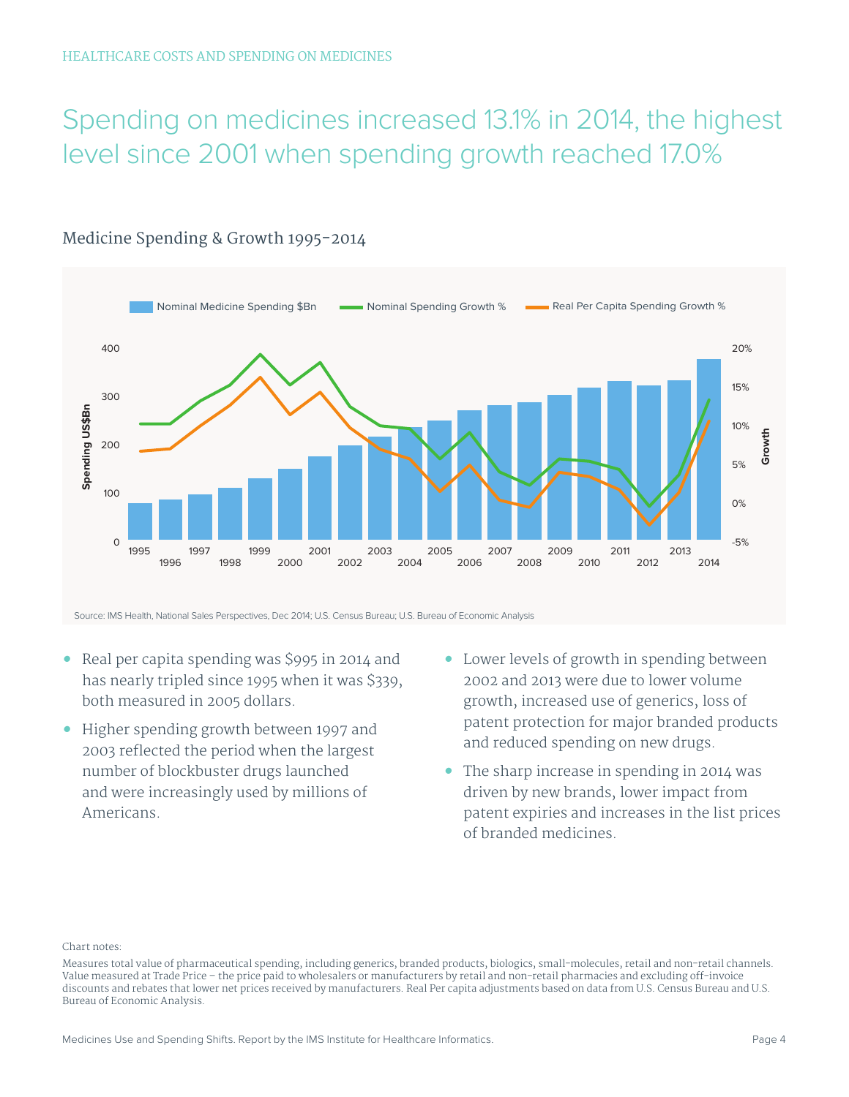# Spending on medicines increased 13.1% in 2014, the highest level since 2001 when spending growth reached 17.0%



### Medicine Spending & Growth 1995-2014

- **•** Real per capita spending was \$995 in 2014 and has nearly tripled since 1995 when it was \$339, both measured in 2005 dollars.
- **•** Higher spending growth between 1997 and 2003 reflected the period when the largest number of blockbuster drugs launched and were increasingly used by millions of Americans.
- **•** Lower levels of growth in spending between 2002 and 2013 were due to lower volume growth, increased use of generics, loss of patent protection for major branded products and reduced spending on new drugs.
- **•** The sharp increase in spending in 2014 was driven by new brands, lower impact from patent expiries and increases in the list prices of branded medicines.

#### Chart notes:

Measures total value of pharmaceutical spending, including generics, branded products, biologics, small-molecules, retail and non-retail channels. Value measured at Trade Price – the price paid to wholesalers or manufacturers by retail and non-retail pharmacies and excluding off-invoice discounts and rebates that lower net prices received by manufacturers. Real Per capita adjustments based on data from U.S. Census Bureau and U.S. Bureau of Economic Analysis.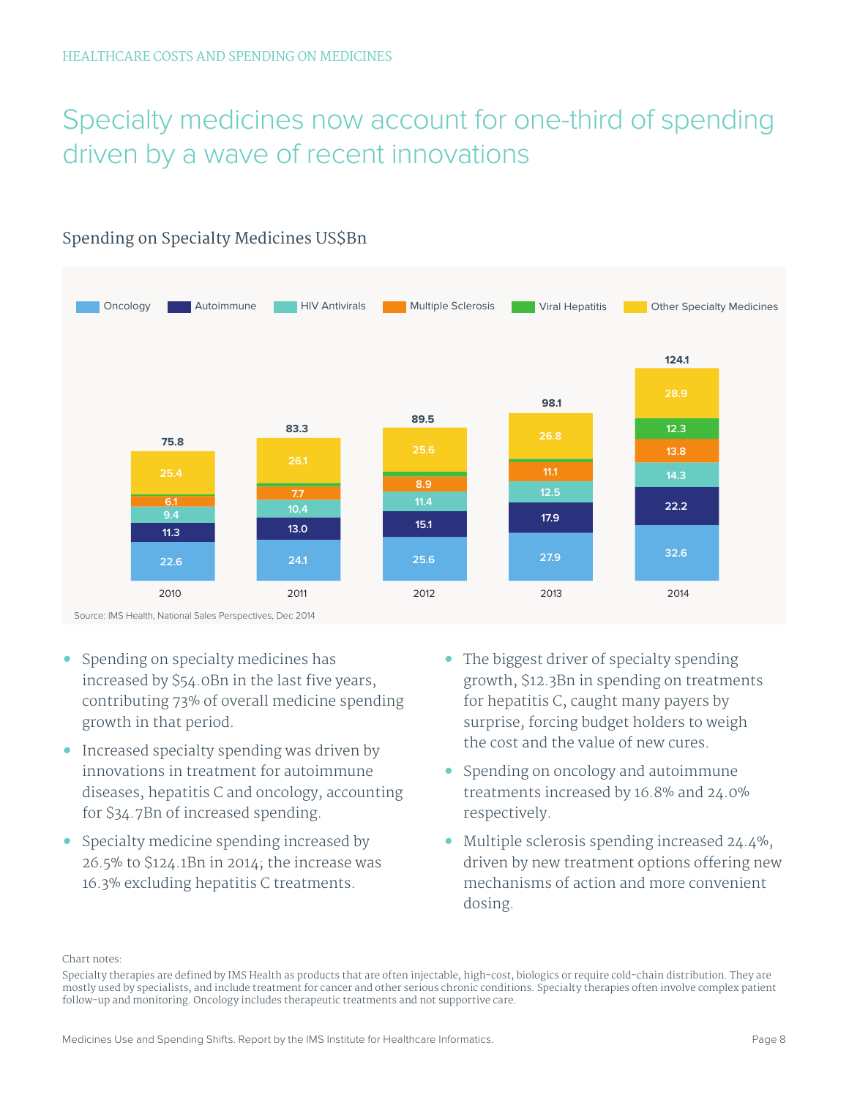# Specialty medicines now account for one-third of spending driven by a wave of recent innovations



## Spending on Specialty Medicines US\$Bn

- **•** Spending on specialty medicines has increased by \$54.0Bn in the last five years, contributing 73% of overall medicine spending growth in that period.
- **•** Increased specialty spending was driven by innovations in treatment for autoimmune diseases, hepatitis C and oncology, accounting for \$34.7Bn of increased spending.
- **•** Specialty medicine spending increased by 26.5% to \$124.1Bn in 2014; the increase was 16.3% excluding hepatitis C treatments.
- **•** The biggest driver of specialty spending growth, \$12.3Bn in spending on treatments for hepatitis C, caught many payers by surprise, forcing budget holders to weigh the cost and the value of new cures.
- **•** Spending on oncology and autoimmune treatments increased by 16.8% and 24.0% respectively.
- **•** Multiple sclerosis spending increased 24.4%, driven by new treatment options offering new mechanisms of action and more convenient dosing.

Chart notes:

Specialty therapies are defined by IMS Health as products that are often injectable, high-cost, biologics or require cold-chain distribution. They are mostly used by specialists, and include treatment for cancer and other serious chronic conditions. Specialty therapies often involve complex patient follow-up and monitoring. Oncology includes therapeutic treatments and not supportive care.